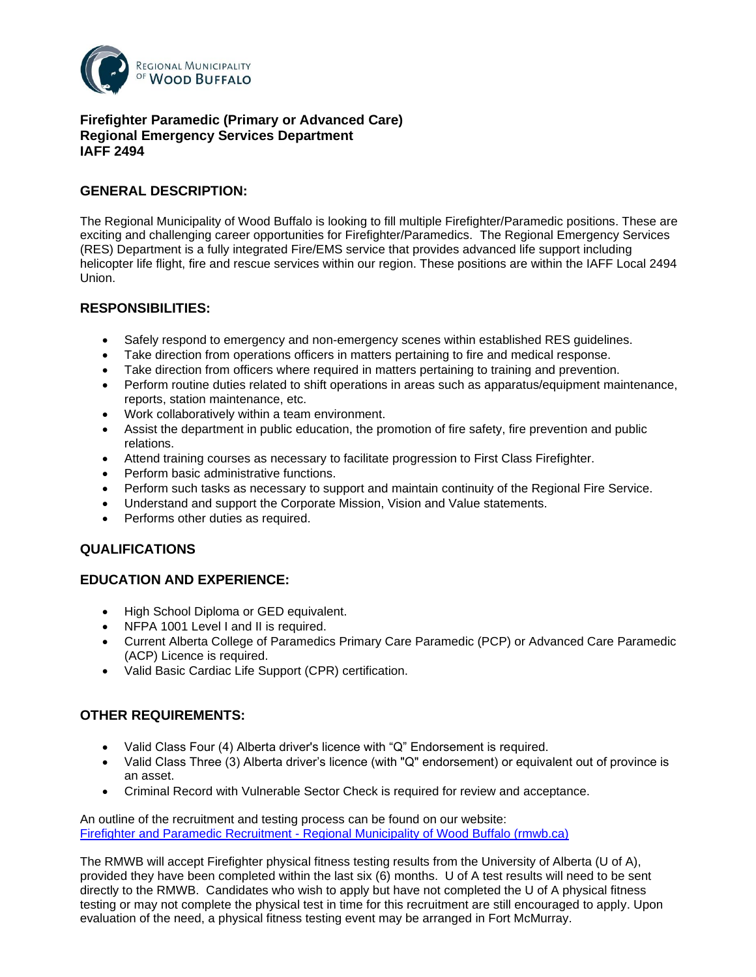

### **Firefighter Paramedic (Primary or Advanced Care) Regional Emergency Services Department IAFF 2494**

# **GENERAL DESCRIPTION:**

The Regional Municipality of Wood Buffalo is looking to fill multiple Firefighter/Paramedic positions. These are exciting and challenging career opportunities for Firefighter/Paramedics. The Regional Emergency Services (RES) Department is a fully integrated Fire/EMS service that provides advanced life support including helicopter life flight, fire and rescue services within our region. These positions are within the IAFF Local 2494 Union.

# **RESPONSIBILITIES:**

- Safely respond to emergency and non-emergency scenes within established RES guidelines.
- Take direction from operations officers in matters pertaining to fire and medical response.
- Take direction from officers where required in matters pertaining to training and prevention.
- Perform routine duties related to shift operations in areas such as apparatus/equipment maintenance, reports, station maintenance, etc.
- Work collaboratively within a team environment.
- Assist the department in public education, the promotion of fire safety, fire prevention and public relations.
- Attend training courses as necessary to facilitate progression to First Class Firefighter.
- Perform basic administrative functions.
- Perform such tasks as necessary to support and maintain continuity of the Regional Fire Service.
- Understand and support the Corporate Mission, Vision and Value statements.
- Performs other duties as required.

# **QUALIFICATIONS**

# **EDUCATION AND EXPERIENCE:**

- High School Diploma or GED equivalent.
- NFPA 1001 Level I and II is required.
- Current Alberta College of Paramedics Primary Care Paramedic (PCP) or Advanced Care Paramedic (ACP) Licence is required.
- Valid Basic Cardiac Life Support (CPR) certification.

# **OTHER REQUIREMENTS:**

- Valid Class Four (4) Alberta driver's licence with "Q" Endorsement is required.
- Valid Class Three (3) Alberta driver's licence (with "Q" endorsement) or equivalent out of province is an asset.
- Criminal Record with Vulnerable Sector Check is required for review and acceptance.

An outline of the recruitment and testing process can be found on our website: Firefighter and Paramedic Recruitment - [Regional Municipality of Wood Buffalo \(rmwb.ca\)](javascript:void(0);)

The RMWB will accept Firefighter physical fitness testing results from the University of Alberta (U of A), provided they have been completed within the last six (6) months. U of A test results will need to be sent directly to the RMWB. Candidates who wish to apply but have not completed the U of A physical fitness testing or may not complete the physical test in time for this recruitment are still encouraged to apply. Upon evaluation of the need, a physical fitness testing event may be arranged in Fort McMurray.